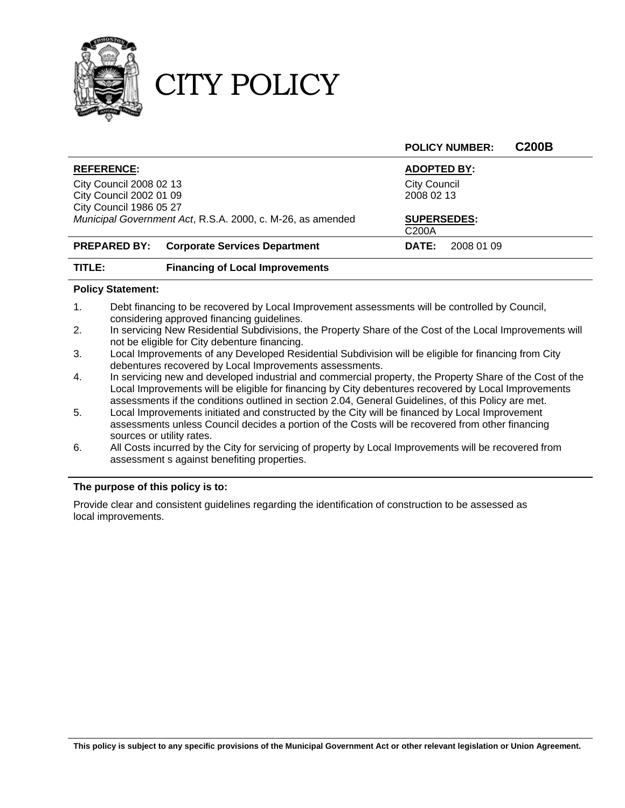

CITY POLICY

|                                                            |                                        | <b>POLICY NUMBER:</b> | <b>C200B</b> |
|------------------------------------------------------------|----------------------------------------|-----------------------|--------------|
| <b>REFERENCE:</b>                                          |                                        | <b>ADOPTED BY:</b>    |              |
| City Council 2008 02 13                                    |                                        | <b>City Council</b>   |              |
| City Council 2002 01 09                                    |                                        | 2008 02 13            |              |
| City Council 1986 05 27                                    |                                        |                       |              |
| Municipal Government Act, R.S.A. 2000, c. M-26, as amended |                                        | <b>SUPERSEDES:</b>    |              |
|                                                            |                                        | C <sub>200</sub> A    |              |
| <b>PREPARED BY:</b>                                        | <b>Corporate Services Department</b>   | DATE:<br>2008 01 09   |              |
| TITLE:                                                     | <b>Financing of Local Improvements</b> |                       |              |

## **Policy Statement:**

- 1. Debt financing to be recovered by Local Improvement assessments will be controlled by Council, considering approved financing guidelines.
- 2. In servicing New Residential Subdivisions, the Property Share of the Cost of the Local Improvements will not be eligible for City debenture financing.
- 3. Local Improvements of any Developed Residential Subdivision will be eligible for financing from City debentures recovered by Local Improvements assessments.
- 4. In servicing new and developed industrial and commercial property, the Property Share of the Cost of the Local Improvements will be eligible for financing by City debentures recovered by Local Improvements assessments if the conditions outlined in section 2.04, General Guidelines, of this Policy are met.
- 5. Local Improvements initiated and constructed by the City will be financed by Local Improvement assessments unless Council decides a portion of the Costs will be recovered from other financing sources or utility rates.
- 6. All Costs incurred by the City for servicing of property by Local Improvements will be recovered from assessment s against benefiting properties.

## **The purpose of this policy is to:**

Provide clear and consistent guidelines regarding the identification of construction to be assessed as local improvements.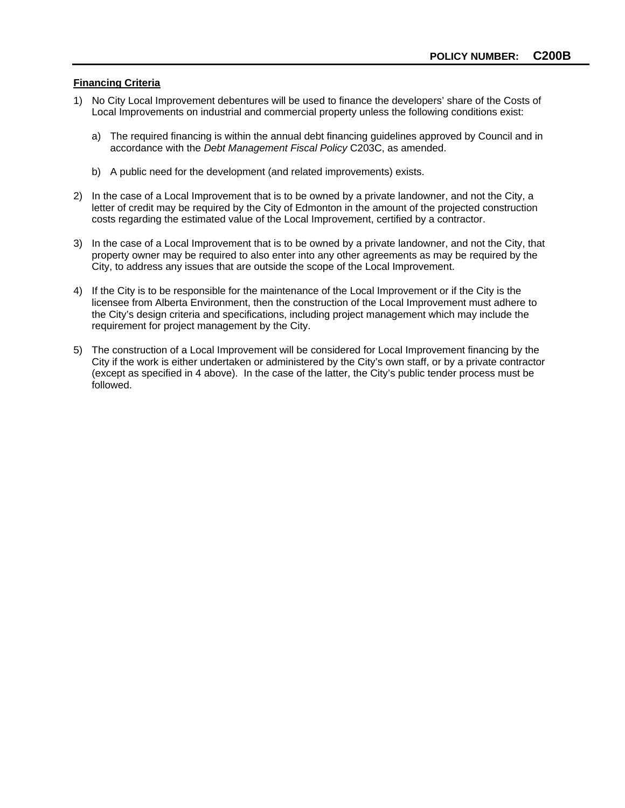## **Financing Criteria**

- 1) No City Local Improvement debentures will be used to finance the developers' share of the Costs of Local Improvements on industrial and commercial property unless the following conditions exist:
	- a) The required financing is within the annual debt financing guidelines approved by Council and in accordance with the *Debt Management Fiscal Policy* C203C, as amended.
	- b) A public need for the development (and related improvements) exists.
- 2) In the case of a Local Improvement that is to be owned by a private landowner, and not the City, a letter of credit may be required by the City of Edmonton in the amount of the projected construction costs regarding the estimated value of the Local Improvement, certified by a contractor.
- 3) In the case of a Local Improvement that is to be owned by a private landowner, and not the City, that property owner may be required to also enter into any other agreements as may be required by the City, to address any issues that are outside the scope of the Local Improvement.
- 4) If the City is to be responsible for the maintenance of the Local Improvement or if the City is the licensee from Alberta Environment, then the construction of the Local Improvement must adhere to the City's design criteria and specifications, including project management which may include the requirement for project management by the City.
- 5) The construction of a Local Improvement will be considered for Local Improvement financing by the City if the work is either undertaken or administered by the City's own staff, or by a private contractor (except as specified in 4 above). In the case of the latter, the City's public tender process must be followed.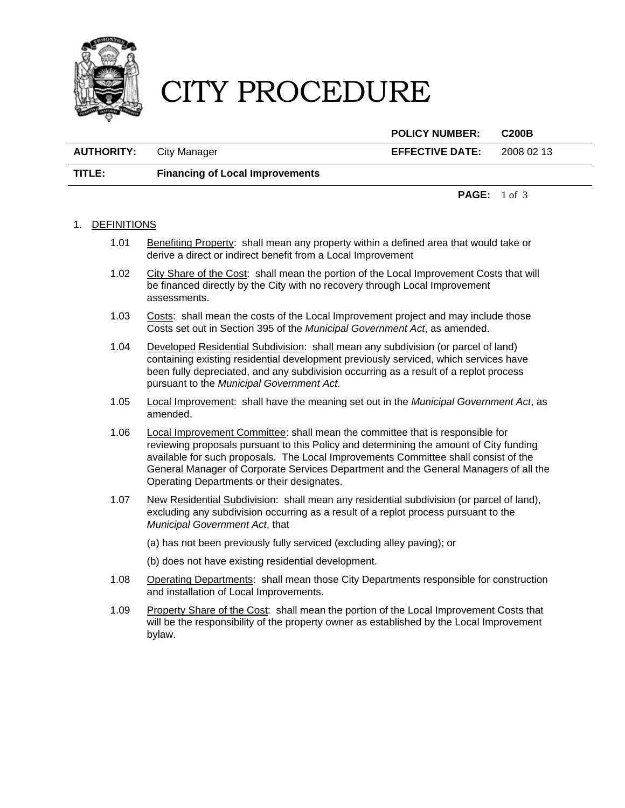

# CITY PROCEDURE

|                   |                                        | <b>POLICY NUMBER:</b>  | C <sub>200</sub> B |
|-------------------|----------------------------------------|------------------------|--------------------|
| <b>AUTHORITY:</b> | City Manager                           | <b>EFFECTIVE DATE:</b> | 2008 02 13         |
| TITLE:            | <b>Financing of Local Improvements</b> |                        |                    |

**PAGE:** 1 of 3

# 1. DEFINITIONS

- 1.01 Benefiting Property: shall mean any property within a defined area that would take or derive a direct or indirect benefit from a Local Improvement
- 1.02 City Share of the Cost: shall mean the portion of the Local Improvement Costs that will be financed directly by the City with no recovery through Local Improvement assessments.
- 1.03 Costs: shall mean the costs of the Local Improvement project and may include those Costs set out in Section 395 of the *Municipal Government Act*, as amended.
- 1.04 Developed Residential Subdivision: shall mean any subdivision (or parcel of land) containing existing residential development previously serviced, which services have been fully depreciated, and any subdivision occurring as a result of a replot process pursuant to the *Municipal Government Act*.
- 1.05 Local Improvement: shall have the meaning set out in the *Municipal Government Act*, as amended.
- 1.06 Local Improvement Committee: shall mean the committee that is responsible for reviewing proposals pursuant to this Policy and determining the amount of City funding available for such proposals. The Local Improvements Committee shall consist of the General Manager of Corporate Services Department and the General Managers of all the Operating Departments or their designates.
- 1.07 New Residential Subdivision: shall mean any residential subdivision (or parcel of land), excluding any subdivision occurring as a result of a replot process pursuant to the *Municipal Government Act*, that
	- (a) has not been previously fully serviced (excluding alley paving); or
	- (b) does not have existing residential development.
- 1.08 Operating Departments: shall mean those City Departments responsible for construction and installation of Local Improvements.
- 1.09 Property Share of the Cost: shall mean the portion of the Local Improvement Costs that will be the responsibility of the property owner as established by the Local Improvement bylaw.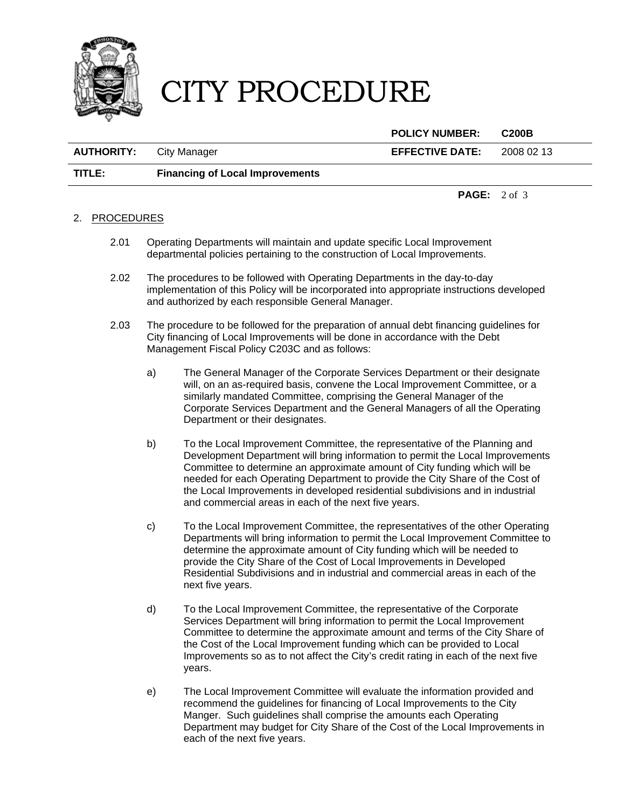

# CITY PROCEDURE

|                   |                                        | <b>POLICY NUMBER:</b>          | C200B      |
|-------------------|----------------------------------------|--------------------------------|------------|
| <b>AUTHORITY:</b> | City Manager                           | <b>EFFECTIVE DATE:</b>         | 2008 02 13 |
| TITLE:            | <b>Financing of Local Improvements</b> |                                |            |
|                   |                                        | <b>PAGE:</b> $2 \text{ of } 3$ |            |

## 2. PROCEDURES

- 2.01 Operating Departments will maintain and update specific Local Improvement departmental policies pertaining to the construction of Local Improvements.
- 2.02 The procedures to be followed with Operating Departments in the day-to-day implementation of this Policy will be incorporated into appropriate instructions developed and authorized by each responsible General Manager.
- 2.03 The procedure to be followed for the preparation of annual debt financing guidelines for City financing of Local Improvements will be done in accordance with the Debt Management Fiscal Policy C203C and as follows:
	- a) The General Manager of the Corporate Services Department or their designate will, on an as-required basis, convene the Local Improvement Committee, or a similarly mandated Committee, comprising the General Manager of the Corporate Services Department and the General Managers of all the Operating Department or their designates.
	- b) To the Local Improvement Committee, the representative of the Planning and Development Department will bring information to permit the Local Improvements Committee to determine an approximate amount of City funding which will be needed for each Operating Department to provide the City Share of the Cost of the Local Improvements in developed residential subdivisions and in industrial and commercial areas in each of the next five years.
	- c) To the Local Improvement Committee, the representatives of the other Operating Departments will bring information to permit the Local Improvement Committee to determine the approximate amount of City funding which will be needed to provide the City Share of the Cost of Local Improvements in Developed Residential Subdivisions and in industrial and commercial areas in each of the next five years.
	- d) To the Local Improvement Committee, the representative of the Corporate Services Department will bring information to permit the Local Improvement Committee to determine the approximate amount and terms of the City Share of the Cost of the Local Improvement funding which can be provided to Local Improvements so as to not affect the City's credit rating in each of the next five years.
	- e) The Local Improvement Committee will evaluate the information provided and recommend the guidelines for financing of Local Improvements to the City Manger. Such guidelines shall comprise the amounts each Operating Department may budget for City Share of the Cost of the Local Improvements in each of the next five years.